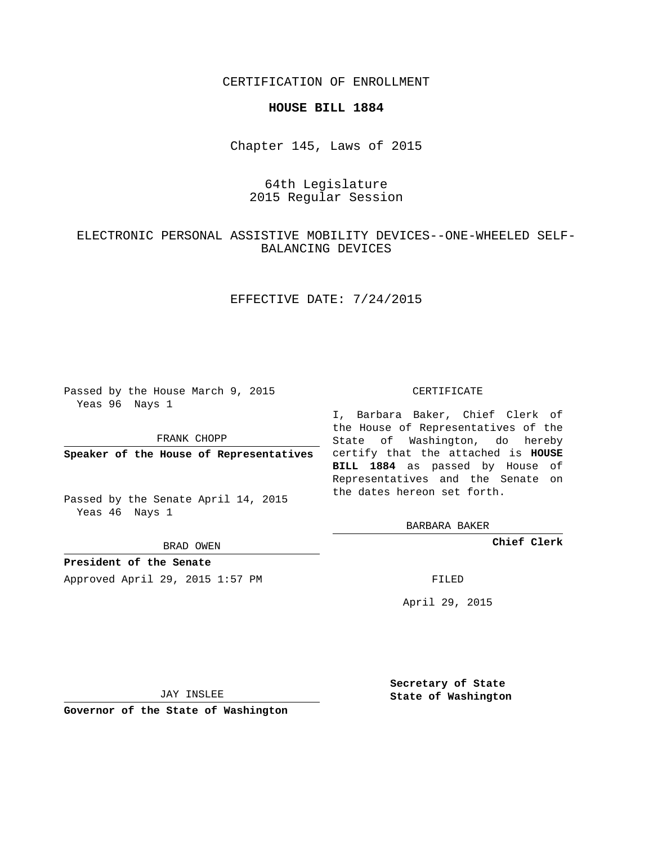CERTIFICATION OF ENROLLMENT

#### **HOUSE BILL 1884**

Chapter 145, Laws of 2015

# 64th Legislature 2015 Regular Session

# ELECTRONIC PERSONAL ASSISTIVE MOBILITY DEVICES--ONE-WHEELED SELF-BALANCING DEVICES

### EFFECTIVE DATE: 7/24/2015

Passed by the House March 9, 2015 Yeas 96 Nays 1

FRANK CHOPP

Passed by the Senate April 14, 2015 Yeas 46 Nays 1

BRAD OWEN

**President of the Senate**

Approved April 29, 2015 1:57 PM FILED

#### CERTIFICATE

**Speaker of the House of Representatives** certify that the attached is **HOUSE** I, Barbara Baker, Chief Clerk of the House of Representatives of the State of Washington, do hereby **BILL 1884** as passed by House of Representatives and the Senate on the dates hereon set forth.

BARBARA BAKER

**Chief Clerk**

April 29, 2015

JAY INSLEE

**Governor of the State of Washington**

**Secretary of State State of Washington**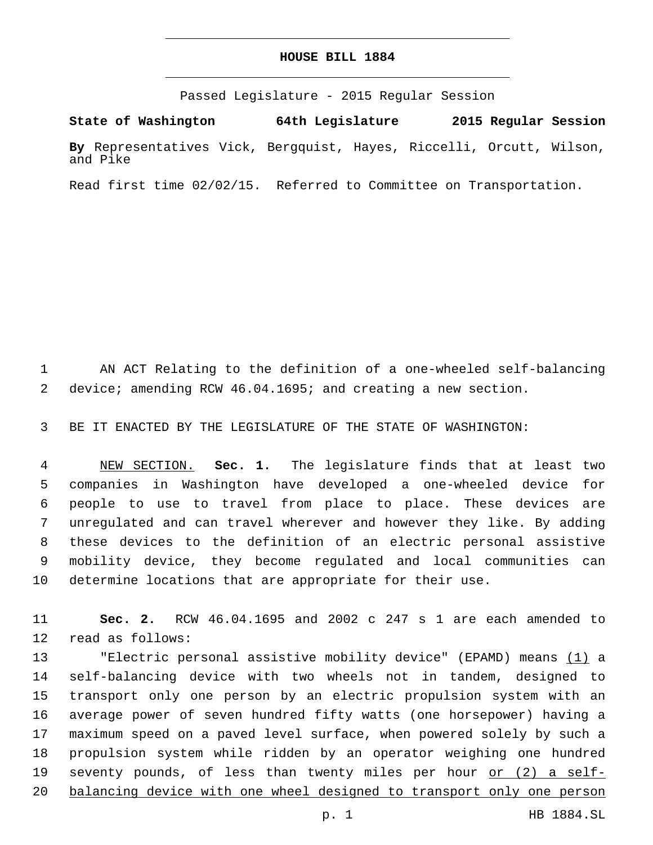#### **HOUSE BILL 1884**

Passed Legislature - 2015 Regular Session

**State of Washington 64th Legislature 2015 Regular Session By** Representatives Vick, Bergquist, Hayes, Riccelli, Orcutt, Wilson, and Pike

Read first time 02/02/15. Referred to Committee on Transportation.

 AN ACT Relating to the definition of a one-wheeled self-balancing device; amending RCW 46.04.1695; and creating a new section.

BE IT ENACTED BY THE LEGISLATURE OF THE STATE OF WASHINGTON:

 NEW SECTION. **Sec. 1.** The legislature finds that at least two companies in Washington have developed a one-wheeled device for people to use to travel from place to place. These devices are unregulated and can travel wherever and however they like. By adding these devices to the definition of an electric personal assistive mobility device, they become regulated and local communities can determine locations that are appropriate for their use.

 **Sec. 2.** RCW 46.04.1695 and 2002 c 247 s 1 are each amended to 12 read as follows:

13 Telectric personal assistive mobility device" (EPAMD) means (1) a self-balancing device with two wheels not in tandem, designed to transport only one person by an electric propulsion system with an average power of seven hundred fifty watts (one horsepower) having a maximum speed on a paved level surface, when powered solely by such a propulsion system while ridden by an operator weighing one hundred 19 seventy pounds, of less than twenty miles per hour or (2) a self-balancing device with one wheel designed to transport only one person